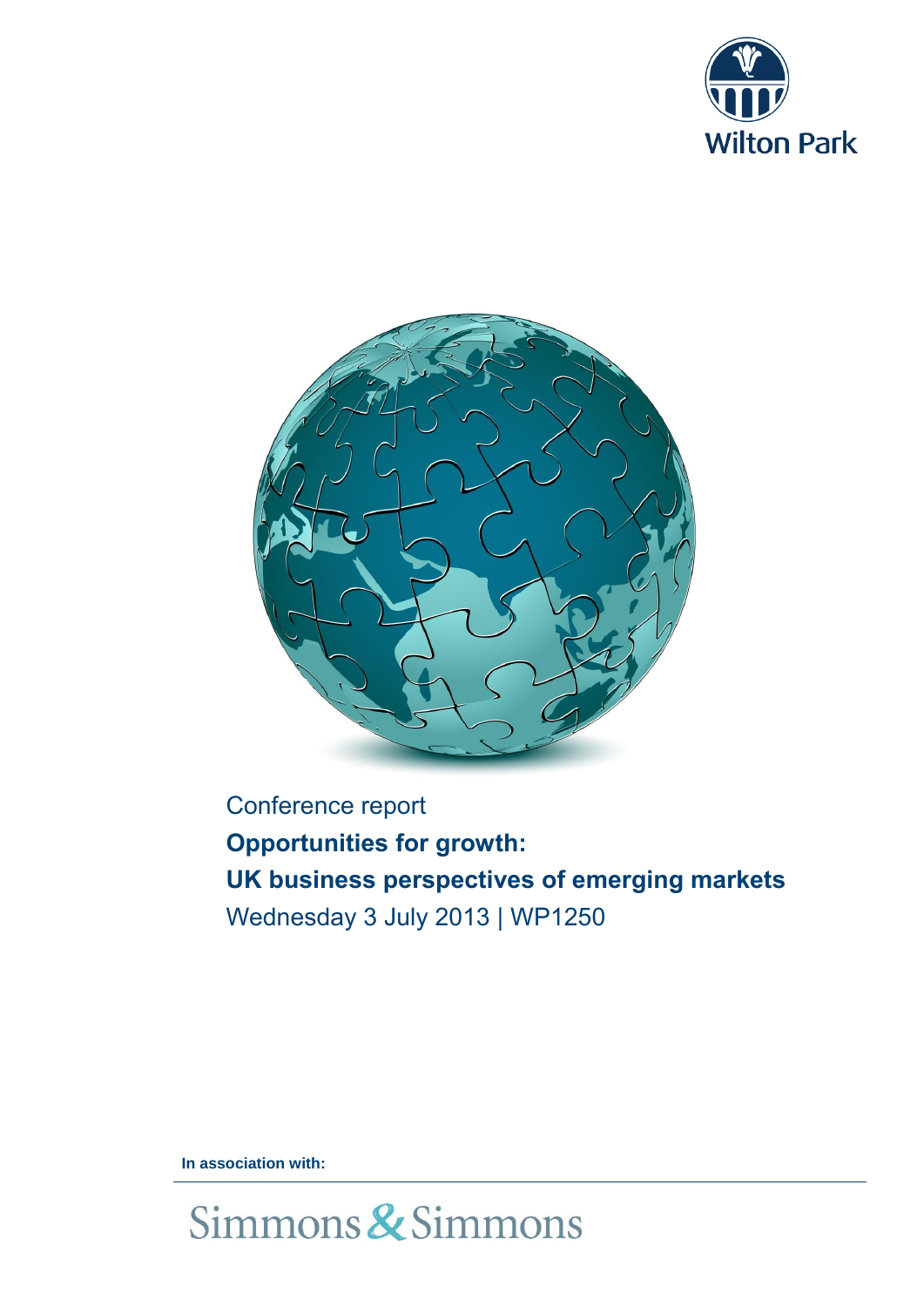



Conference report **Opportunities for growth: UK business perspectives of emerging markets** Wednesday 3 July 2013 | WP1250

**In association with:**

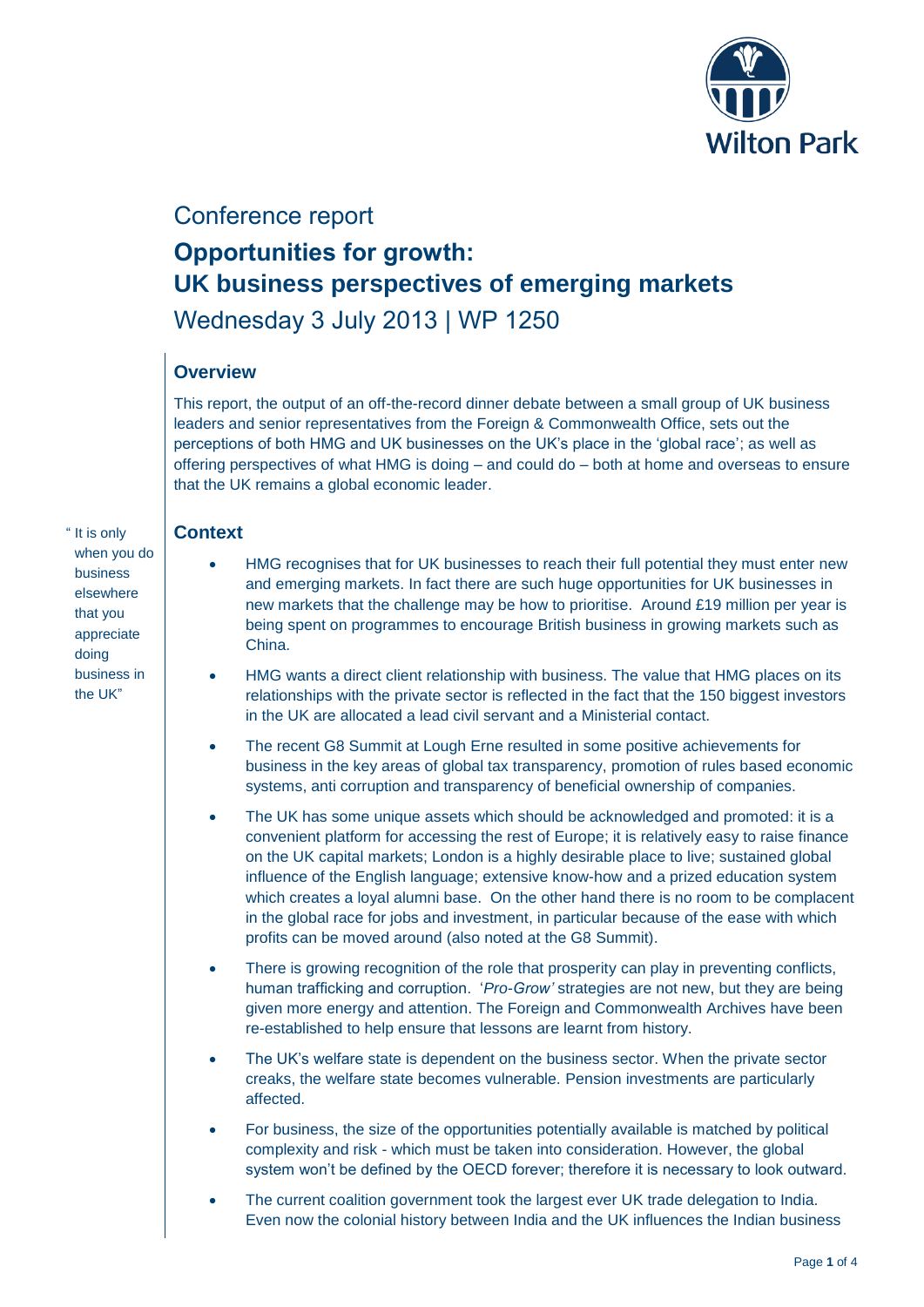

## Conference report

# **Opportunities for growth: UK business perspectives of emerging markets** Wednesday 3 July 2013 | WP 1250

#### **Overview**

This report, the output of an off-the-record dinner debate between a small group of UK business leaders and senior representatives from the Foreign & Commonwealth Office, sets out the perceptions of both HMG and UK businesses on the UK's place in the 'global race'; as well as offering perspectives of what HMG is doing – and could do – both at home and overseas to ensure that the UK remains a global economic leader.

#### **Context**

" It is only when you do business elsewhere that you appreciate doing business in the UK"

- HMG recognises that for UK businesses to reach their full potential they must enter new and emerging markets. In fact there are such huge opportunities for UK businesses in new markets that the challenge may be how to prioritise. Around £19 million per year is being spent on programmes to encourage British business in growing markets such as China.
- HMG wants a direct client relationship with business. The value that HMG places on its relationships with the private sector is reflected in the fact that the 150 biggest investors in the UK are allocated a lead civil servant and a Ministerial contact.
- The recent G8 Summit at Lough Erne resulted in some positive achievements for business in the key areas of global tax transparency, promotion of rules based economic systems, anti corruption and transparency of beneficial ownership of companies.
- The UK has some unique assets which should be acknowledged and promoted: it is a convenient platform for accessing the rest of Europe; it is relatively easy to raise finance on the UK capital markets; London is a highly desirable place to live; sustained global influence of the English language; extensive know-how and a prized education system which creates a loyal alumni base. On the other hand there is no room to be complacent in the global race for jobs and investment, in particular because of the ease with which profits can be moved around (also noted at the G8 Summit).
- There is growing recognition of the role that prosperity can play in preventing conflicts, human trafficking and corruption. '*Pro-Grow'* strategies are not new, but they are being given more energy and attention. The Foreign and Commonwealth Archives have been re-established to help ensure that lessons are learnt from history.
- The UK's welfare state is dependent on the business sector. When the private sector creaks, the welfare state becomes vulnerable. Pension investments are particularly affected.
- For business, the size of the opportunities potentially available is matched by political complexity and risk - which must be taken into consideration. However, the global system won't be defined by the OECD forever; therefore it is necessary to look outward.
- The current coalition government took the largest ever UK trade delegation to India. Even now the colonial history between India and the UK influences the Indian business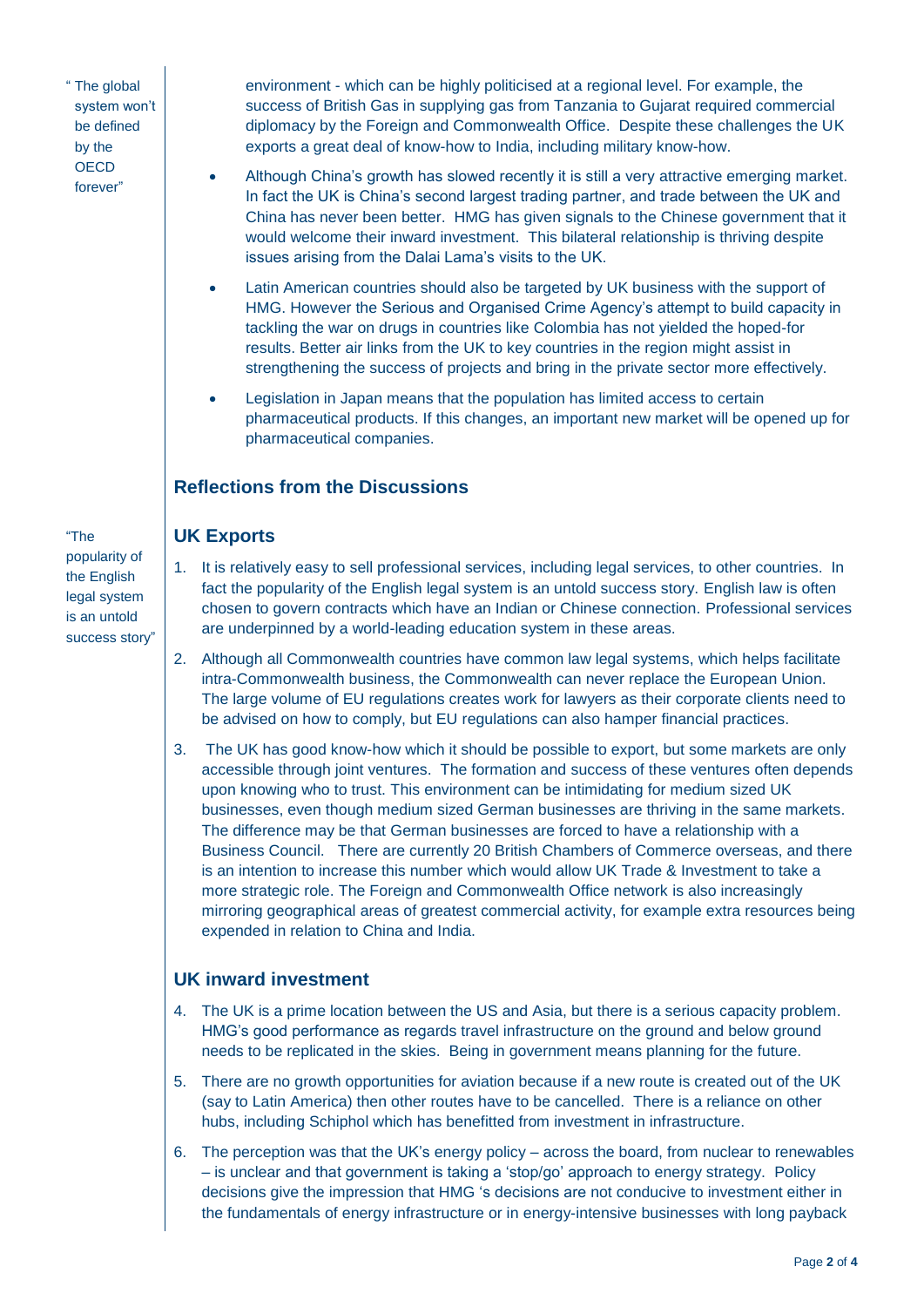" The global system won't be defined by the **OECD** forever"

environment - which can be highly politicised at a regional level. For example, the success of British Gas in supplying gas from Tanzania to Gujarat required commercial diplomacy by the Foreign and Commonwealth Office. Despite these challenges the UK exports a great deal of know-how to India, including military know-how.

- Although China's growth has slowed recently it is still a very attractive emerging market. In fact the UK is China's second largest trading partner, and trade between the UK and China has never been better. HMG has given signals to the Chinese government that it would welcome their inward investment. This bilateral relationship is thriving despite issues arising from the Dalai Lama's visits to the UK.
- Latin American countries should also be targeted by UK business with the support of HMG. However the Serious and Organised Crime Agency's attempt to build capacity in tackling the war on drugs in countries like Colombia has not yielded the hoped-for results. Better air links from the UK to key countries in the region might assist in strengthening the success of projects and bring in the private sector more effectively.
- Legislation in Japan means that the population has limited access to certain pharmaceutical products. If this changes, an important new market will be opened up for pharmaceutical companies.

### **Reflections from the Discussions**

#### **UK Exports**

- 1. It is relatively easy to sell professional services, including legal services, to other countries. In fact the popularity of the English legal system is an untold success story. English law is often chosen to govern contracts which have an Indian or Chinese connection. Professional services are underpinned by a world-leading education system in these areas.
	- 2. Although all Commonwealth countries have common law legal systems, which helps facilitate intra-Commonwealth business, the Commonwealth can never replace the European Union. The large volume of EU regulations creates work for lawyers as their corporate clients need to be advised on how to comply, but EU regulations can also hamper financial practices.
	- 3. The UK has good know-how which it should be possible to export, but some markets are only accessible through joint ventures. The formation and success of these ventures often depends upon knowing who to trust. This environment can be intimidating for medium sized UK businesses, even though medium sized German businesses are thriving in the same markets. The difference may be that German businesses are forced to have a relationship with a Business Council. There are currently 20 British Chambers of Commerce overseas, and there is an intention to increase this number which would allow UK Trade & Investment to take a more strategic role. The Foreign and Commonwealth Office network is also increasingly mirroring geographical areas of greatest commercial activity, for example extra resources being expended in relation to China and India.

#### **UK inward investment**

- 4. The UK is a prime location between the US and Asia, but there is a serious capacity problem. HMG's good performance as regards travel infrastructure on the ground and below ground needs to be replicated in the skies. Being in government means planning for the future.
- 5. There are no growth opportunities for aviation because if a new route is created out of the UK (say to Latin America) then other routes have to be cancelled. There is a reliance on other hubs, including Schiphol which has benefitted from investment in infrastructure.
- 6. The perception was that the UK's energy policy across the board, from nuclear to renewables – is unclear and that government is taking a 'stop/go' approach to energy strategy. Policy decisions give the impression that HMG 's decisions are not conducive to investment either in the fundamentals of energy infrastructure or in energy-intensive businesses with long payback

"The popularity of the English legal system is an untold success story"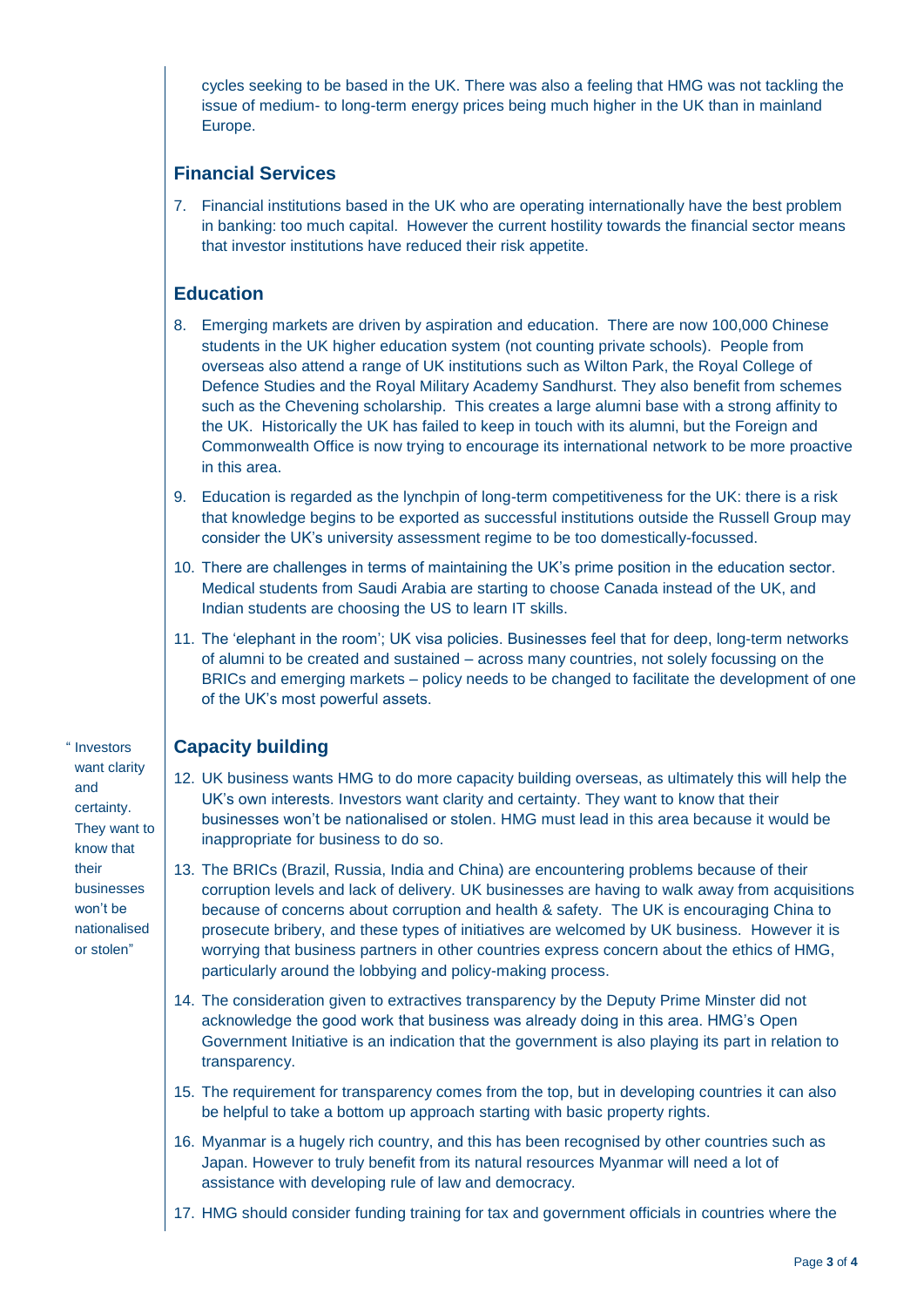cycles seeking to be based in the UK. There was also a feeling that HMG was not tackling the issue of medium- to long-term energy prices being much higher in the UK than in mainland Europe.

#### **Financial Services**

7. Financial institutions based in the UK who are operating internationally have the best problem in banking: too much capital. However the current hostility towards the financial sector means that investor institutions have reduced their risk appetite.

#### **Education**

- 8. Emerging markets are driven by aspiration and education. There are now 100,000 Chinese students in the UK higher education system (not counting private schools). People from overseas also attend a range of UK institutions such as Wilton Park, the Royal College of Defence Studies and the Royal Military Academy Sandhurst. They also benefit from schemes such as the Chevening scholarship. This creates a large alumni base with a strong affinity to the UK. Historically the UK has failed to keep in touch with its alumni, but the Foreign and Commonwealth Office is now trying to encourage its international network to be more proactive in this area.
- 9. Education is regarded as the lynchpin of long-term competitiveness for the UK: there is a risk that knowledge begins to be exported as successful institutions outside the Russell Group may consider the UK's university assessment regime to be too domestically-focussed.
- 10. There are challenges in terms of maintaining the UK's prime position in the education sector. Medical students from Saudi Arabia are starting to choose Canada instead of the UK, and Indian students are choosing the US to learn IT skills.
- 11. The 'elephant in the room'; UK visa policies. Businesses feel that for deep, long-term networks of alumni to be created and sustained – across many countries, not solely focussing on the BRICs and emerging markets – policy needs to be changed to facilitate the development of one of the UK's most powerful assets.

#### **Capacity building**

- 12. UK business wants HMG to do more capacity building overseas, as ultimately this will help the UK's own interests. Investors want clarity and certainty. They want to know that their businesses won't be nationalised or stolen. HMG must lead in this area because it would be inappropriate for business to do so.
- 13. The BRICs (Brazil, Russia, India and China) are encountering problems because of their corruption levels and lack of delivery. UK businesses are having to walk away from acquisitions because of concerns about corruption and health & safety. The UK is encouraging China to prosecute bribery, and these types of initiatives are welcomed by UK business. However it is worrying that business partners in other countries express concern about the ethics of HMG, particularly around the lobbying and policy-making process.
- 14. The consideration given to extractives transparency by the Deputy Prime Minster did not acknowledge the good work that business was already doing in this area. HMG's Open Government Initiative is an indication that the government is also playing its part in relation to transparency.
- 15. The requirement for transparency comes from the top, but in developing countries it can also be helpful to take a bottom up approach starting with basic property rights.
- 16. Myanmar is a hugely rich country, and this has been recognised by other countries such as Japan. However to truly benefit from its natural resources Myanmar will need a lot of assistance with developing rule of law and democracy.
- 17. HMG should consider funding training for tax and government officials in countries where the

" Investors want clarity and certainty. They want to know that their businesses won't be nationalised or stolen"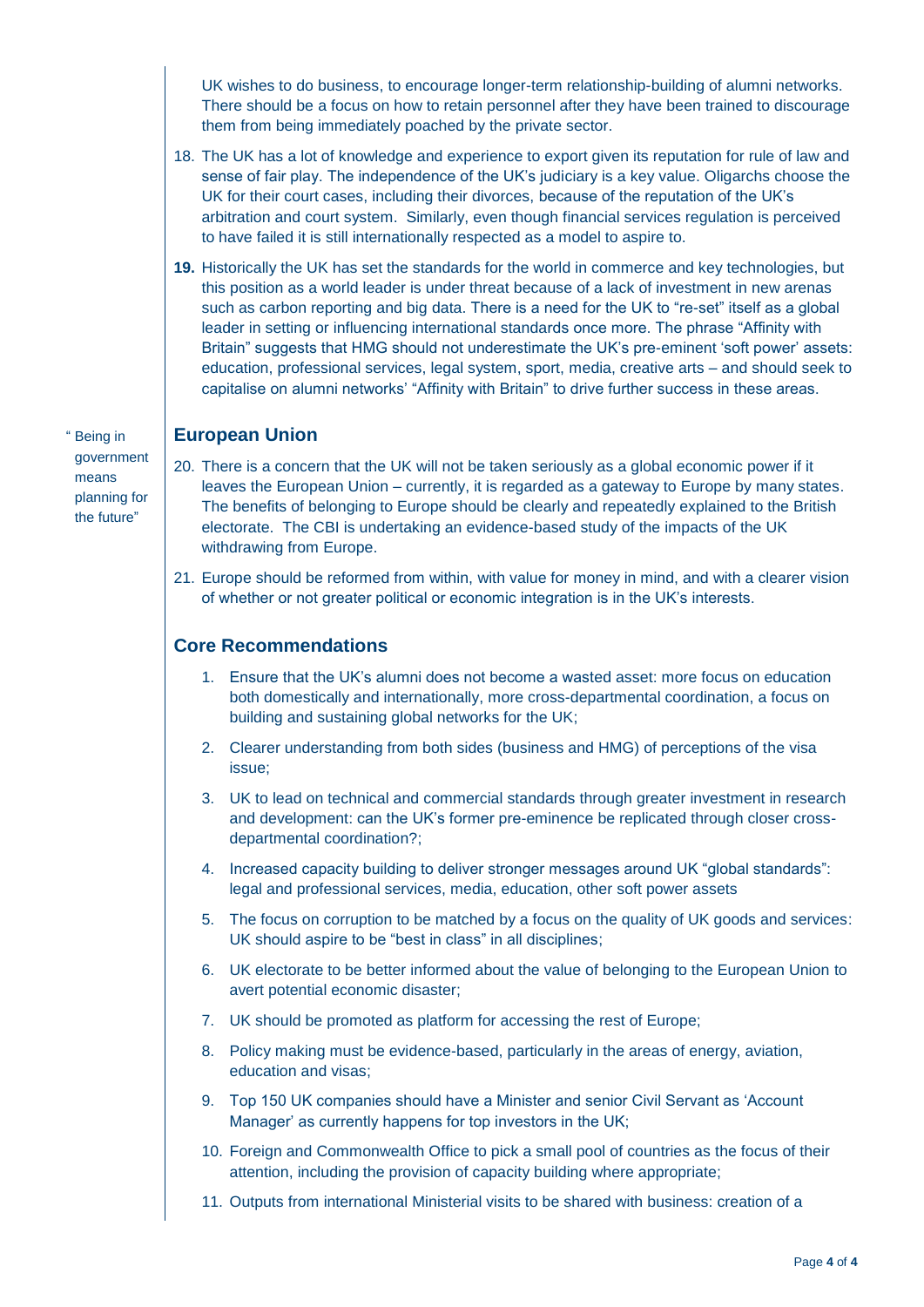UK wishes to do business, to encourage longer-term relationship-building of alumni networks. There should be a focus on how to retain personnel after they have been trained to discourage them from being immediately poached by the private sector.

- 18. The UK has a lot of knowledge and experience to export given its reputation for rule of law and sense of fair play. The independence of the UK's judiciary is a key value. Oligarchs choose the UK for their court cases, including their divorces, because of the reputation of the UK's arbitration and court system. Similarly, even though financial services regulation is perceived to have failed it is still internationally respected as a model to aspire to.
- **19.** Historically the UK has set the standards for the world in commerce and key technologies, but this position as a world leader is under threat because of a lack of investment in new arenas such as carbon reporting and big data. There is a need for the UK to "re-set" itself as a global leader in setting or influencing international standards once more. The phrase "Affinity with Britain" suggests that HMG should not underestimate the UK's pre-eminent 'soft power' assets: education, professional services, legal system, sport, media, creative arts – and should seek to capitalise on alumni networks' "Affinity with Britain" to drive further success in these areas.

" Being in government means planning for the future"

#### **European Union**

- 20. There is a concern that the UK will not be taken seriously as a global economic power if it leaves the European Union – currently, it is regarded as a gateway to Europe by many states. The benefits of belonging to Europe should be clearly and repeatedly explained to the British electorate. The CBI is undertaking an evidence-based study of the impacts of the UK withdrawing from Europe.
- 21. Europe should be reformed from within, with value for money in mind, and with a clearer vision of whether or not greater political or economic integration is in the UK's interests.

#### **Core Recommendations**

- 1. Ensure that the UK's alumni does not become a wasted asset: more focus on education both domestically and internationally, more cross-departmental coordination, a focus on building and sustaining global networks for the UK;
- 2. Clearer understanding from both sides (business and HMG) of perceptions of the visa issue;
- 3. UK to lead on technical and commercial standards through greater investment in research and development: can the UK's former pre-eminence be replicated through closer crossdepartmental coordination?;
- 4. Increased capacity building to deliver stronger messages around UK "global standards": legal and professional services, media, education, other soft power assets
- 5. The focus on corruption to be matched by a focus on the quality of UK goods and services: UK should aspire to be "best in class" in all disciplines;
- 6. UK electorate to be better informed about the value of belonging to the European Union to avert potential economic disaster;
- 7. UK should be promoted as platform for accessing the rest of Europe;
- 8. Policy making must be evidence-based, particularly in the areas of energy, aviation, education and visas;
- 9. Top 150 UK companies should have a Minister and senior Civil Servant as 'Account Manager' as currently happens for top investors in the UK;
- 10. Foreign and Commonwealth Office to pick a small pool of countries as the focus of their attention, including the provision of capacity building where appropriate;
- 11. Outputs from international Ministerial visits to be shared with business: creation of a